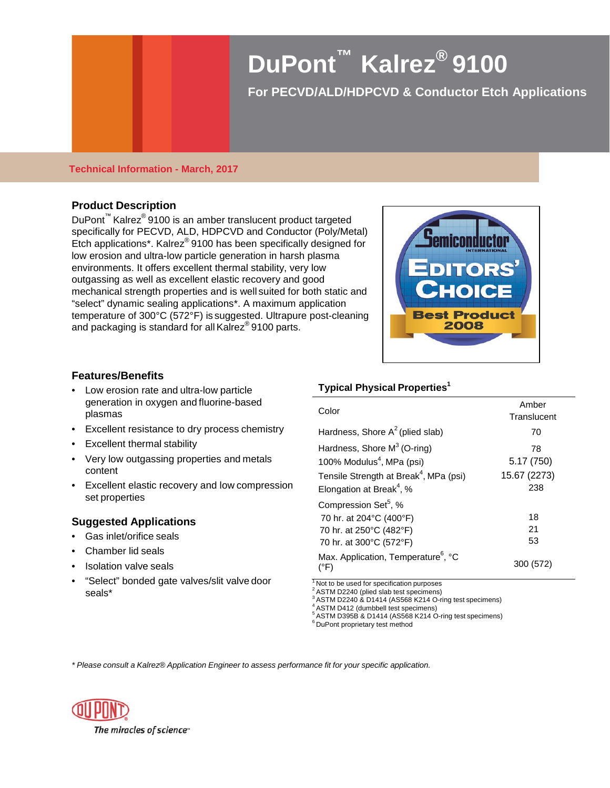# **DuPont™ Kalrez® 9100**

## **For PECVD/ALD/HDPCVD & Conductor Etch Applications**

#### **Technical Information - March, 2017**

#### **Product Description**

DuPont™ Kalrez® 9100 is an amber translucent product targeted specifically for PECVD, ALD, HDPCVD and Conductor (Poly/Metal) Etch applications\*. Kalrez® 9100 has been specifically designed for low erosion and ultra-low particle generation in harsh plasma environments. It offers excellent thermal stability, very low outgassing as well as excellent elastic recovery and good mechanical strength properties and is well suited for both static and "select" dynamic sealing applications\*. A maximum application temperature of 300°C (572°F) is suggested. Ultrapure post-cleaning and packaging is standard for all Kalrez<sup>®</sup> 9100 parts.



#### **Features/Benefits**

- Low erosion rate and ultra-low particle generation in oxygen and fluorine-based plasmas
- Excellent resistance to dry process chemistry
- Excellent thermal stability
- Very low outgassing properties and metals content
- Excellent elastic recovery and low compression set properties

## **Suggested Applications**

- Gas inlet/orifice seals
- Chamber lid seals
- Isolation valve seals
- "Select" bonded gate valves/slit valve door seals\*

#### **Typical Physical Properties<sup>1</sup>**

| Color                                                                                                                                                                 | Amber<br>Translucent                    |
|-----------------------------------------------------------------------------------------------------------------------------------------------------------------------|-----------------------------------------|
| Hardness, Shore $A^2$ (plied slab)                                                                                                                                    | 70                                      |
| Hardness, Shore $M^3$ (O-ring)<br>100% Modulus <sup>4</sup> , MPa (psi)<br>Tensile Strength at Break <sup>4</sup> , MPa (psi)<br>Elongation at Break <sup>4</sup> , % | 78<br>5.17 (750)<br>15.67 (2273)<br>238 |
| Compression Set <sup>5</sup> , %<br>70 hr. at 204°C (400°F)<br>70 hr. at 250°C (482°F)<br>70 hr. at 300°C (572°F)                                                     | 18<br>21<br>53                          |
| Max. Application, Temperature <sup>6</sup> , °C<br>(°F)                                                                                                               | 300 (572)                               |

<sup>1</sup> Not to be used for specification purposes<br>
<sup>2</sup> ASTM D2240 (plied slab test specimens)<br>
<sup>3</sup> ASTM D2240 & D1414 (AS568 K214 O-ring test specimens)<br>
<sup>4</sup> ASTM D412 (dumbbell test specimens)<br>
<sup>5</sup> ASTM D395B & D1414 (AS568 K

*\* Please consult a Kalrez® Application Engineer to assess performance fit for your specific application.*

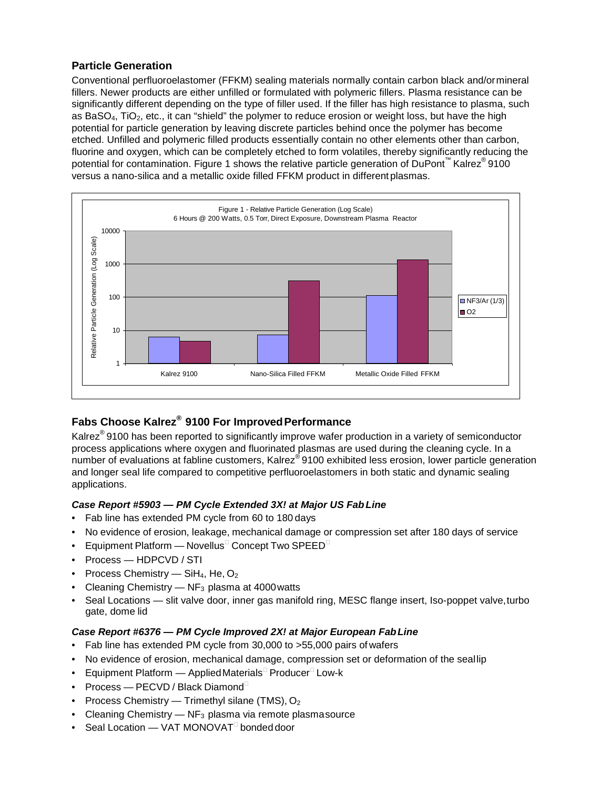## **Particle Generation**

Conventional perfluoroelastomer (FFKM) sealing materials normally contain carbon black and/ormineral fillers. Newer products are either unfilled or formulated with polymeric fillers. Plasma resistance can be significantly different depending on the type of filler used. If the filler has high resistance to plasma, such as BaSO<sub>4</sub>, TiO<sub>2</sub>, etc., it can "shield" the polymer to reduce erosion or weight loss, but have the high potential for particle generation by leaving discrete particles behind once the polymer has become etched. Unfilled and polymeric filled products essentially contain no other elements other than carbon, fluorine and oxygen, which can be completely etched to form volatiles, thereby significantly reducing the potential for contamination. Figure 1 shows the relative particle generation of DuPont™ Kalrez<sup>®</sup> 9100 versus a nano-silica and a metallic oxide filled FFKM product in differentplasmas.



## **Fabs Choose Kalrez® 9100 For ImprovedPerformance**

Kalrez<sup>®</sup> 9100 has been reported to significantly improve wafer production in a variety of semiconductor process applications where oxygen and fluorinated plasmas are used during the cleaning cycle. In a number of evaluations at fabline customers, Kalrez® 9100 exhibited less erosion, lower particle generation and longer seal life compared to competitive perfluoroelastomers in both static and dynamic sealing applications.

#### *Case Report #5903 — PM Cycle Extended 3X! at Major US FabLine*

- Fab line has extended PM cycle from 60 to 180 days
- No evidence of erosion, leakage, mechanical damage or compression set after 180 days of service
- Equipment Platform Novellus<sup> $\Box$ </sup> Concept Two SPEED<sup> $\Box$ </sup>
- Process HDPCVD / STI
- Process Chemistry  $SiH<sub>4</sub>$ , He,  $O<sub>2</sub>$
- Cleaning Chemistry  $NF<sub>3</sub>$  plasma at 4000 watts
- Seal Locations slit valve door, inner gas manifold ring, MESC flange insert, Iso-poppet valve,turbo gate, dome lid

## *Case Report #6376 — PM Cycle Improved 2X! at Major European FabLine*

- Fab line has extended PM cycle from 30,000 to >55,000 pairs of wafers
- No evidence of erosion, mechanical damage, compression set or deformation of the seallip
- Equipment Platform Applied Materials<sup> $\Box$ </sup> Producer $\Box$  Low-k
- Process PECVD / Black Diamond
- Process Chemistry Trimethyl silane (TMS),  $O<sub>2</sub>$
- Cleaning Chemistry  $-$  NF<sub>3</sub> plasma via remote plasmasource
- Seal Location VAT MONOVAT $\Box$  bonded door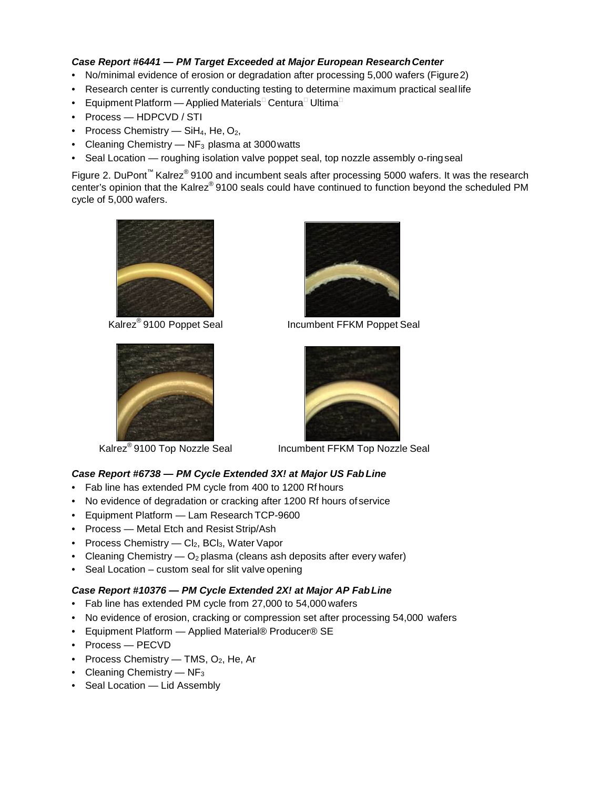#### *Case Report #6441 — PM Target Exceeded at Major European ResearchCenter*

- No/minimal evidence of erosion or degradation after processing 5,000 wafers (Figure2)
- Research center is currently conducting testing to determine maximum practical seal life
- Equipment Platform Applied Materials<sup>□</sup> Centura<sup>□</sup> Ultima<sup>□</sup>
- Process HDPCVD / STI
- Process Chemistry SiH<sub>4</sub>, He,  $O_2$ ,
- Cleaning Chemistry  $-$  NF<sub>3</sub> plasma at 3000 watts
- Seal Location roughing isolation valve poppet seal, top nozzle assembly o-ringseal

Figure 2. DuPont™ Kalrez® 9100 and incumbent seals after processing 5000 wafers. It was the research center's opinion that the Kalrez® 9100 seals could have continued to function beyond the scheduled PM cycle of 5,000 wafers.







Kalrez<sup>®</sup> 9100 Poppet Seal Incumbent FFKM Poppet Seal



Kalrez<sup>®</sup> 9100 Top Nozzle Seal Incumbent FFKM Top Nozzle Seal

## *Case Report #6738 — PM Cycle Extended 3X! at Major US FabLine*

- Fab line has extended PM cycle from 400 to 1200 Rf hours
- No evidence of degradation or cracking after 1200 Rf hours ofservice
- Equipment Platform Lam Research TCP-9600
- Process Metal Etch and Resist Strip/Ash
- Process Chemistry  $Cl_2$ , BCl<sub>3</sub>, Water Vapor
- Cleaning Chemistry  $-$  O<sub>2</sub> plasma (cleans ash deposits after every wafer)
- Seal Location custom seal for slit valve opening

#### *Case Report #10376 — PM Cycle Extended 2X! at Major AP FabLine*

- Fab line has extended PM cycle from 27,000 to 54,000 wafers
- No evidence of erosion, cracking or compression set after processing 54,000 wafers
- Equipment Platform Applied Material® Producer® SE
- Process PECVD
- Process Chemistry TMS,  $O_2$ , He, Ar
- Cleaning Chemistry  $-$  NF<sub>3</sub>
- Seal Location Lid Assembly